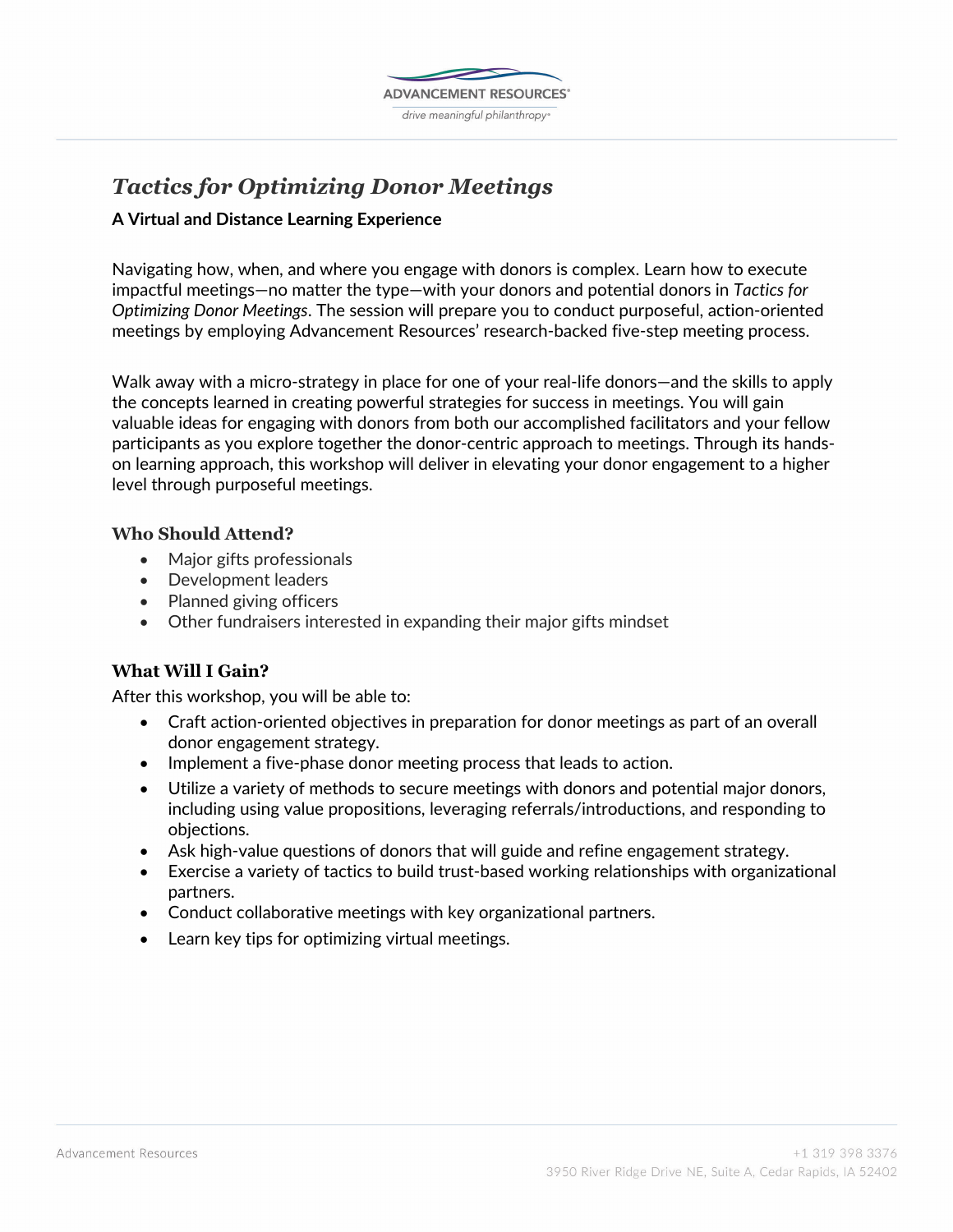

# *Tactics for Optimizing Donor Meetings*

## **A Virtual and Distance Learning Experience**

Navigating how, when, and where you engage with donors is complex. Learn how to execute impactful meetings—no matter the type—with your donors and potential donors in *Tactics for Optimizing Donor Meetings*. The session will prepare you to conduct purposeful, action-oriented meetings by employing Advancement Resources' research-backed five-step meeting process.

Walk away with a micro-strategy in place for one of your real-life donors—and the skills to apply the concepts learned in creating powerful strategies for success in meetings. You will gain valuable ideas for engaging with donors from both our accomplished facilitators and your fellow participants as you explore together the donor-centric approach to meetings. Through its handson learning approach, this workshop will deliver in elevating your donor engagement to a higher level through purposeful meetings.

## **Who Should Attend?**

- Major gifts professionals
- Development leaders
- Planned giving officers
- Other fundraisers interested in expanding their major gifts mindset

## **What Will I Gain?**

After this workshop, you will be able to:

- Craft action-oriented objectives in preparation for donor meetings as part of an overall donor engagement strategy.
- Implement a five-phase donor meeting process that leads to action.
- Utilize a variety of methods to secure meetings with donors and potential major donors, including using value propositions, leveraging referrals/introductions, and responding to objections.
- Ask high-value questions of donors that will guide and refine engagement strategy.
- Exercise a variety of tactics to build trust-based working relationships with organizational partners.
- Conduct collaborative meetings with key organizational partners.
- Learn key tips for optimizing virtual meetings.